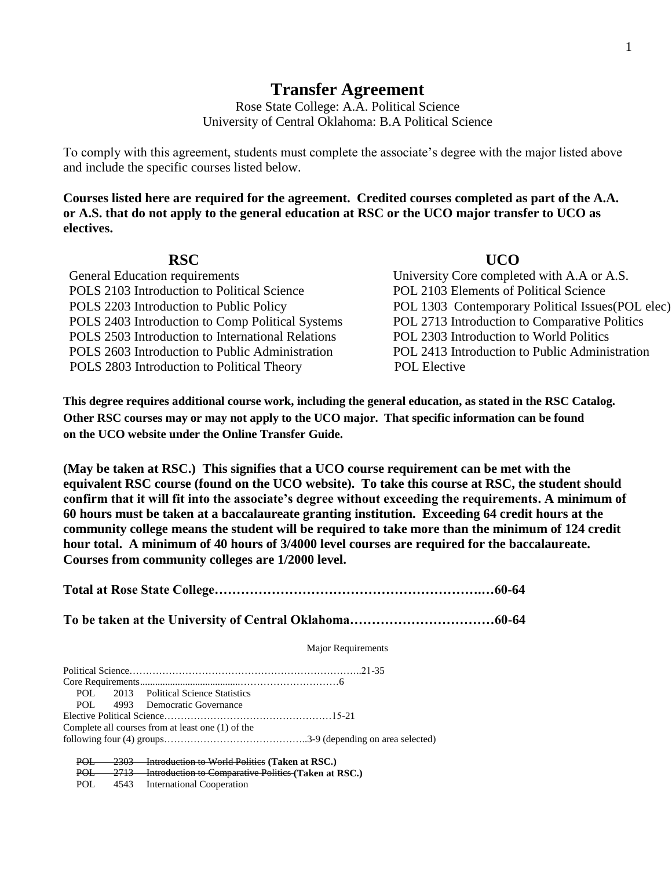# **Transfer Agreement**

Rose State College: A.A. Political Science University of Central Oklahoma: B.A Political Science

To comply with this agreement, students must complete the associate's degree with the major listed above and include the specific courses listed below.

**Courses listed here are required for the agreement. Credited courses completed as part of the A.A. or A.S. that do not apply to the general education at RSC or the UCO major transfer to UCO as electives.**

|  | × |  |
|--|---|--|

| <b>RSC</b>                                        | <b>UCO</b>                                        |
|---------------------------------------------------|---------------------------------------------------|
| General Education requirements                    | University Core completed with A.A or A.S.        |
| POLS 2103 Introduction to Political Science       | POL 2103 Elements of Political Science            |
| POLS 2203 Introduction to Public Policy           | POL 1303 Contemporary Political Issues (POL elec) |
| POLS 2403 Introduction to Comp Political Systems  | POL 2713 Introduction to Comparative Politics     |
| POLS 2503 Introduction to International Relations | POL 2303 Introduction to World Politics           |
| POLS 2603 Introduction to Public Administration   | POL 2413 Introduction to Public Administration    |
| POLS 2803 Introduction to Political Theory        | <b>POL Elective</b>                               |
|                                                   |                                                   |

**This degree requires additional course work, including the general education, as stated in the RSC Catalog. Other RSC courses may or may not apply to the UCO major. That specific information can be found on the UCO website under the Online Transfer Guide.**

**(May be taken at RSC.) This signifies that a UCO course requirement can be met with the equivalent RSC course (found on the UCO website). To take this course at RSC, the student should confirm that it will fit into the associate's degree without exceeding the requirements. A minimum of 60 hours must be taken at a baccalaureate granting institution. Exceeding 64 credit hours at the community college means the student will be required to take more than the minimum of 124 credit hour total. A minimum of 40 hours of 3/4000 level courses are required for the baccalaureate. Courses from community colleges are 1/2000 level.**

**Total at Rose State College…………………………………………………….…60-64 To be taken at the University of Central Oklahoma……………………………60-64** Major Requirements Political Science……………………………………………………………..21-35 Core Requirements........................................…………………………6 POL 2013 Political Science Statistics<br>POL 4993 Democratic Governance 4993 Democratic Governance Elective Political Science……………………………………………15-21 Complete all courses from at least one (1) of the following four (4) groups……………………………………..3-9 (depending on area selected) POL 2303 Introduction to World Politics **(Taken at RSC.)** 2713 Introduction to Comparative Politics (Taken at RSC.)

POL 4543 International Cooperation